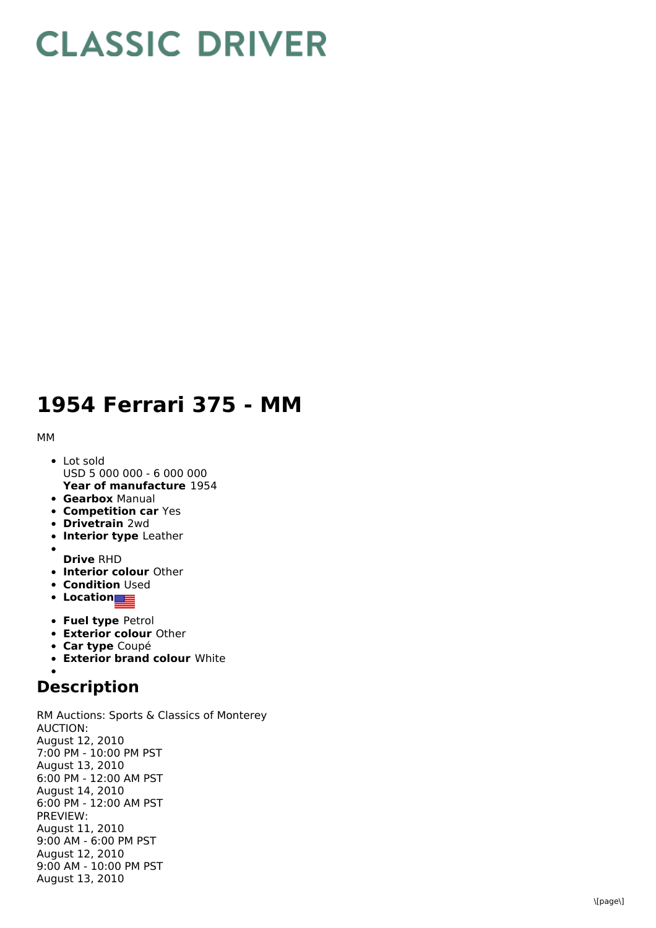## **CLASSIC DRIVER**

## 1954 Ferrari 375 - MM

M M

- **Year of manufacture** 1954 L o t s old USD 5 000 000 - 6 000 000
- **Gearbox** Manual
- **Competition car Yes**
- **Drivetrain** 2wd
- **Interior type Leather**
- **D r i v e** R H D
- **Interior colour** Other
- **Condition** Used
- **L o c a t i o n**
- **Fuel type Petrol**
- **Exterior colour** Other
- **Car type** Coupé
- **Exterior brand colour** White
- 

## **Description**

RM Auctions: Sports & Classics of Monterey A U C TIO N: August 12, 2 0 1 0 7:00 PM - 10:00 PM PST August 13, 2010 6:00 PM - 12:00 AM PST August 14, 2010 6:00 PM - 12:00 AM PST P R E VIE W: August 11, 2 0 1 0 9:00 AM - 6:00 PM PST August 12, 2010 9:00 AM - 10:00 PM PST August 13, 2010